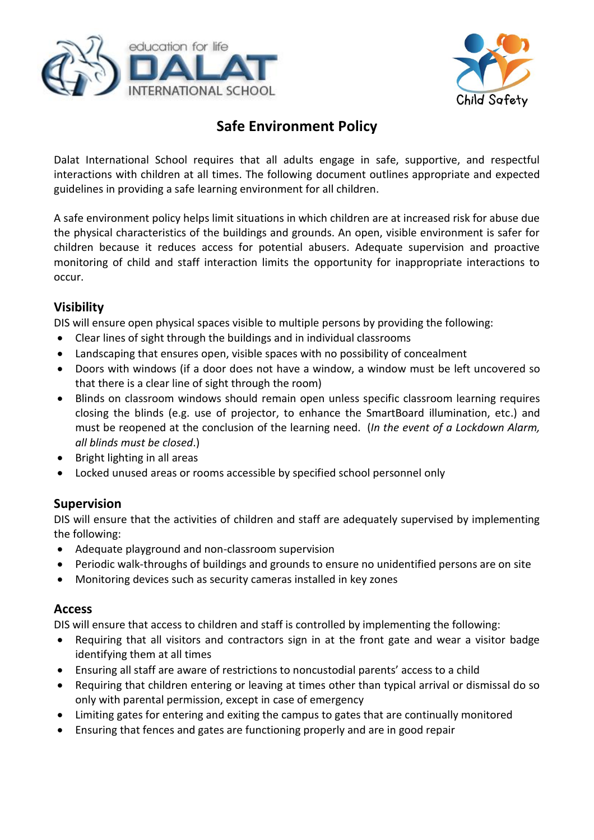



# **Safe Environment Policy**

Dalat International School requires that all adults engage in safe, supportive, and respectful interactions with children at all times. The following document outlines appropriate and expected guidelines in providing a safe learning environment for all children.

A safe environment policy helps limit situations in which children are at increased risk for abuse due the physical characteristics of the buildings and grounds. An open, visible environment is safer for children because it reduces access for potential abusers. Adequate supervision and proactive monitoring of child and staff interaction limits the opportunity for inappropriate interactions to occur.

### **Visibility**

DIS will ensure open physical spaces visible to multiple persons by providing the following:

- Clear lines of sight through the buildings and in individual classrooms
- Landscaping that ensures open, visible spaces with no possibility of concealment
- Doors with windows (if a door does not have a window, a window must be left uncovered so that there is a clear line of sight through the room)
- Blinds on classroom windows should remain open unless specific classroom learning requires closing the blinds (e.g. use of projector, to enhance the SmartBoard illumination, etc.) and must be reopened at the conclusion of the learning need. (*In the event of a Lockdown Alarm, all blinds must be closed*.)
- Bright lighting in all areas
- Locked unused areas or rooms accessible by specified school personnel only

### **Supervision**

DIS will ensure that the activities of children and staff are adequately supervised by implementing the following:

- Adequate playground and non-classroom supervision
- Periodic walk-throughs of buildings and grounds to ensure no unidentified persons are on site
- Monitoring devices such as security cameras installed in key zones

### **Access**

DIS will ensure that access to children and staff is controlled by implementing the following:

- Requiring that all visitors and contractors sign in at the front gate and wear a visitor badge identifying them at all times
- Ensuring all staff are aware of restrictions to noncustodial parents' access to a child
- Requiring that children entering or leaving at times other than typical arrival or dismissal do so only with parental permission, except in case of emergency
- Limiting gates for entering and exiting the campus to gates that are continually monitored
- Ensuring that fences and gates are functioning properly and are in good repair